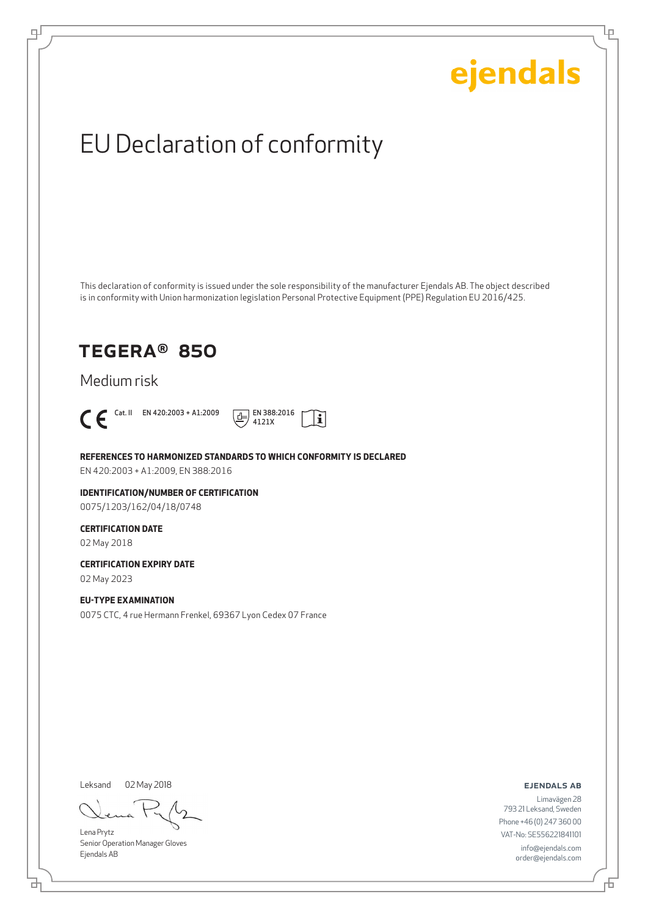Ļμ

## EU Declaration of conformity

This declaration of conformity is issued under the sole responsibility of the manufacturer Ejendals AB. The object described is in conformity with Union harmonization legislation Personal Protective Equipment (PPE) Regulation EU 2016/425.

## TEGERA® 850

Medium risk



டி



**REFERENCES TO HARMONIZED STANDARDS TO WHICH CONFORMITY IS DECLARED**

EN 420:2003 + A1:2009, EN 388:2016

**IDENTIFICATION/NUMBER OF CERTIFICATION** 0075/1203/162/04/18/0748

## **CERTIFICATION DATE**

02 May 2018

**CERTIFICATION EXPIRY DATE**

02 May 2023

### **EU-TYPE EXAMINATION**

0075 CTC, 4 rue Hermann Frenkel, 69367 Lyon Cedex 07 France

Leksand 02 May 2018

Lena Prytz Senior Operation Manager Gloves Ejendals AB

ejendals ab

Limavägen 28 793 21 Leksand, Sweden Phone +46 (0) 247 360 00 VAT-No: SE556221841101 info@ejendals.com order@ejendals.com

舌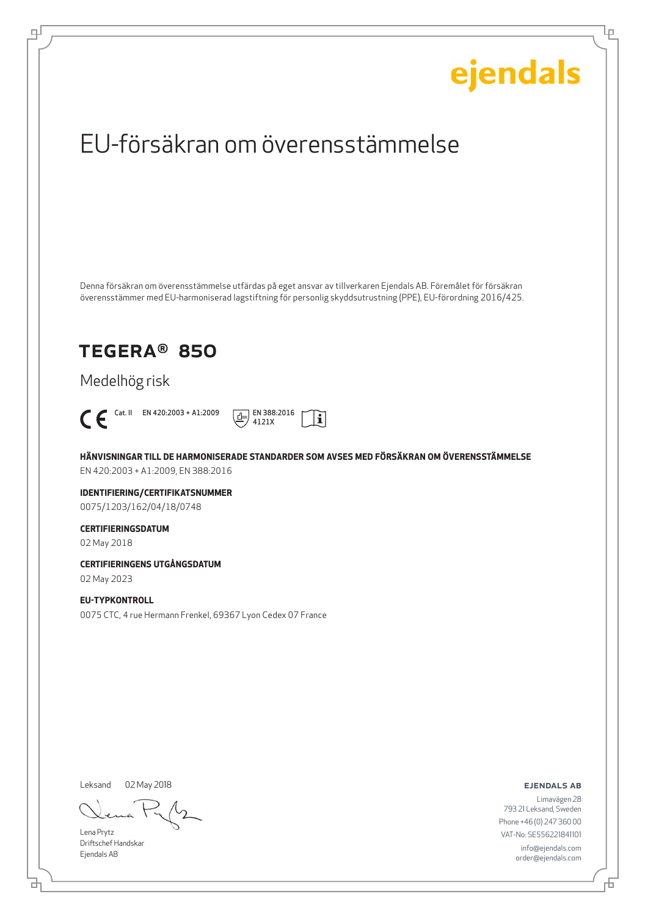Ļμ

## EU-försäkran om överensstämmelse

Denna försäkran om överensstämmelse utfärdas på eget ansvar av tillverkaren Ejendals AB. Föremålet för försäkran överensstämmer med EU-harmoniserad lagstiftning för personlig skyddsutrustning (PPE), EU-förordning 2016/425.

## TEGERA® 850

Medelhög risk



டி



**HÄNVISNINGAR TILL DE HARMONISERADE STANDARDER SOM AVSES MED FÖRSÄKRAN OM ÖVERENSSTÄMMELSE** EN 420:2003 + A1:2009, EN 388:2016

**IDENTIFIERING/CERTIFIKATSNUMMER** 0075/1203/162/04/18/0748

### **CERTIFIERINGSDATUM**

02 May 2018

**CERTIFIERINGENS UTGÅNGSDATUM**

02 May 2023

### **EU-TYPKONTROLL**

0075 CTC, 4 rue Hermann Frenkel, 69367 Lyon Cedex 07 France

Leksand

02 May 2018

Lena Prytz Driftschef Handskar Ejendals AB

ejendals ab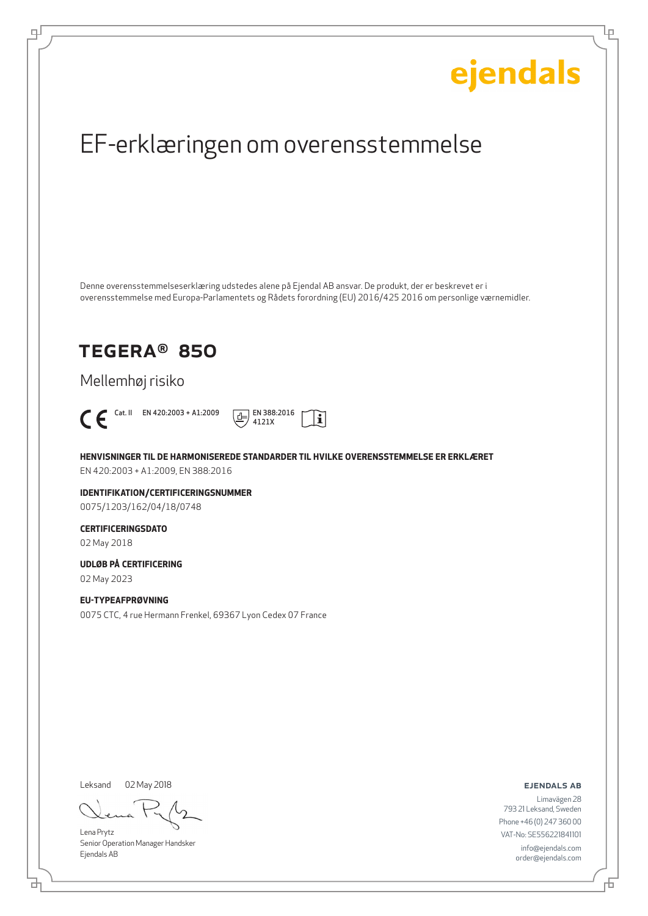Ļμ

## EF-erklæringen om overensstemmelse

Denne overensstemmelseserklæring udstedes alene på Ejendal AB ansvar. De produkt, der er beskrevet er i overensstemmelse med Europa-Parlamentets og Rådets forordning (EU) 2016/425 2016 om personlige værnemidler.

## TEGERA® 850

Mellemhøj risiko



டி



**HENVISNINGER TIL DE HARMONISEREDE STANDARDER TIL HVILKE OVERENSSTEMMELSE ER ERKLÆRET** EN 420:2003 + A1:2009, EN 388:2016

**IDENTIFIKATION/CERTIFICERINGSNUMMER** 0075/1203/162/04/18/0748

## **CERTIFICERINGSDATO**

02 May 2018

## **UDLØB PÅ CERTIFICERING**

02 May 2023

### **EU-TYPEAFPRØVNING**

0075 CTC, 4 rue Hermann Frenkel, 69367 Lyon Cedex 07 France

Leksand 02 May 2018

Lena Prytz Senior Operation Manager Handsker Ejendals AB

ejendals ab

브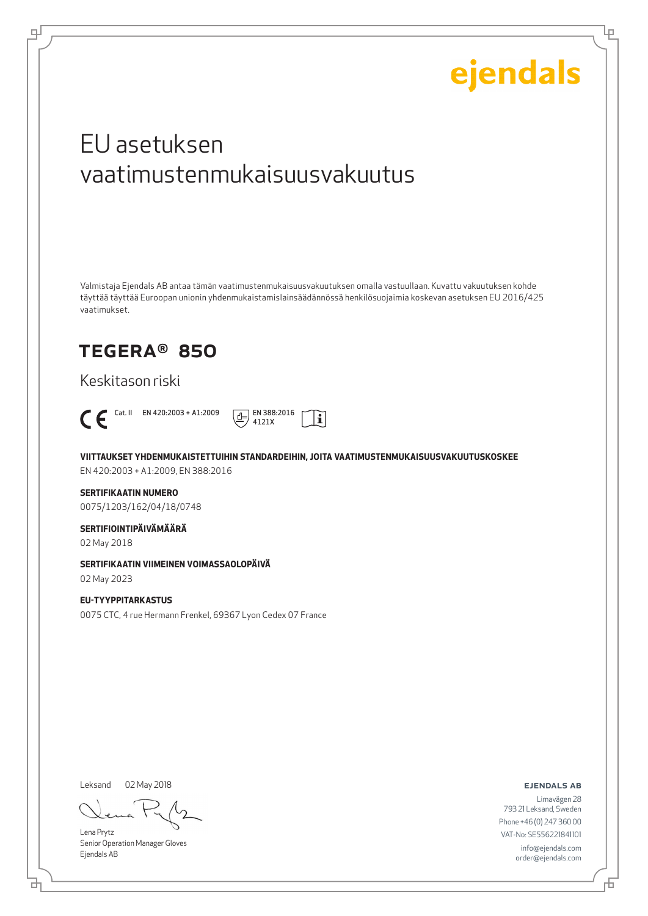Lμ

## EU asetuksen vaatimustenmukaisuusvakuutus

Valmistaja Ejendals AB antaa tämän vaatimustenmukaisuusvakuutuksen omalla vastuullaan. Kuvattu vakuutuksen kohde täyttää täyttää Euroopan unionin yhdenmukaistamislainsäädännössä henkilösuojaimia koskevan asetuksen EU 2016/425 vaatimukset.

## TEGERA® 850

Keskitason riski



цI



**VIITTAUKSET YHDENMUKAISTETTUIHIN STANDARDEIHIN, JOITA VAATIMUSTENMUKAISUUSVAKUUTUSKOSKEE**

EN 420:2003 + A1:2009, EN 388:2016

### **SERTIFIKAATIN NUMERO**

0075/1203/162/04/18/0748

## **SERTIFIOINTIPÄIVÄMÄÄRÄ**

02 May 2018

#### **SERTIFIKAATIN VIIMEINEN VOIMASSAOLOPÄIVÄ**

02 May 2023

### **EU-TYYPPITARKASTUS**

0075 CTC, 4 rue Hermann Frenkel, 69367 Lyon Cedex 07 France

Leksand 02 May 2018

Lena Prytz Senior Operation Manager Gloves Ejendals AB

ejendals ab

₫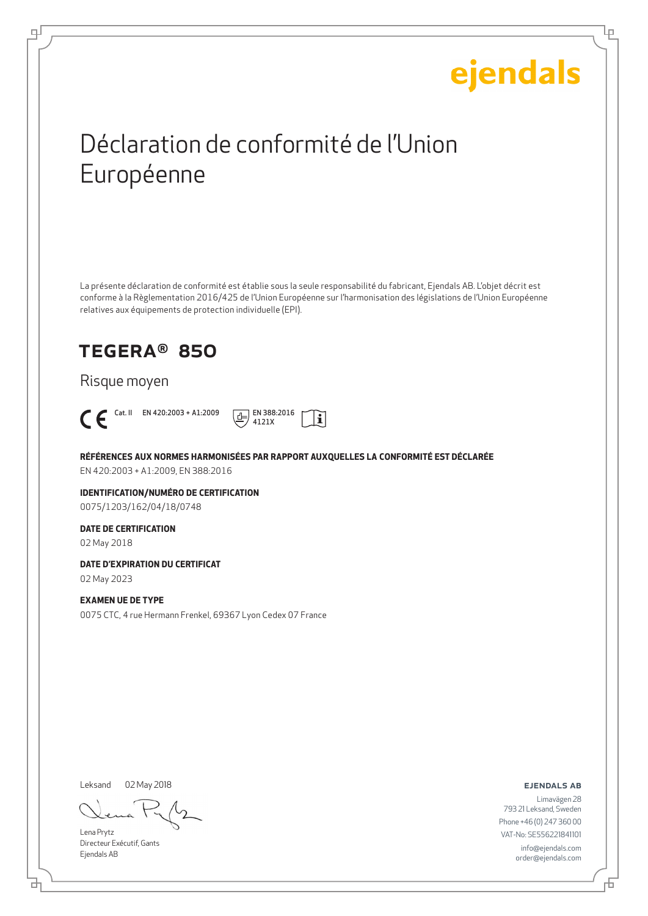Ļμ

## Déclaration de conformité de l'Union Européenne

La présente déclaration de conformité est établie sous la seule responsabilité du fabricant, Ejendals AB. L'objet décrit est conforme à la Règlementation 2016/425 de l'Union Européenne sur l'harmonisation des législations de l'Union Européenne relatives aux équipements de protection individuelle (EPI).

## TEGERA® 850

Risque moyen



டி



**RÉFÉRENCES AUX NORMES HARMONISÉES PAR RAPPORT AUXQUELLES LA CONFORMITÉ EST DÉCLARÉE** EN 420:2003 + A1:2009, EN 388:2016

**IDENTIFICATION/NUMÉRO DE CERTIFICATION** 0075/1203/162/04/18/0748

### **DATE DE CERTIFICATION**

02 May 2018

**DATE D'EXPIRATION DU CERTIFICAT**

02 May 2023

### **EXAMEN UE DE TYPE**

0075 CTC, 4 rue Hermann Frenkel, 69367 Lyon Cedex 07 France

Leksand 02 May 2018

Lena Prytz Directeur Exécutif, Gants Ejendals AB

ejendals ab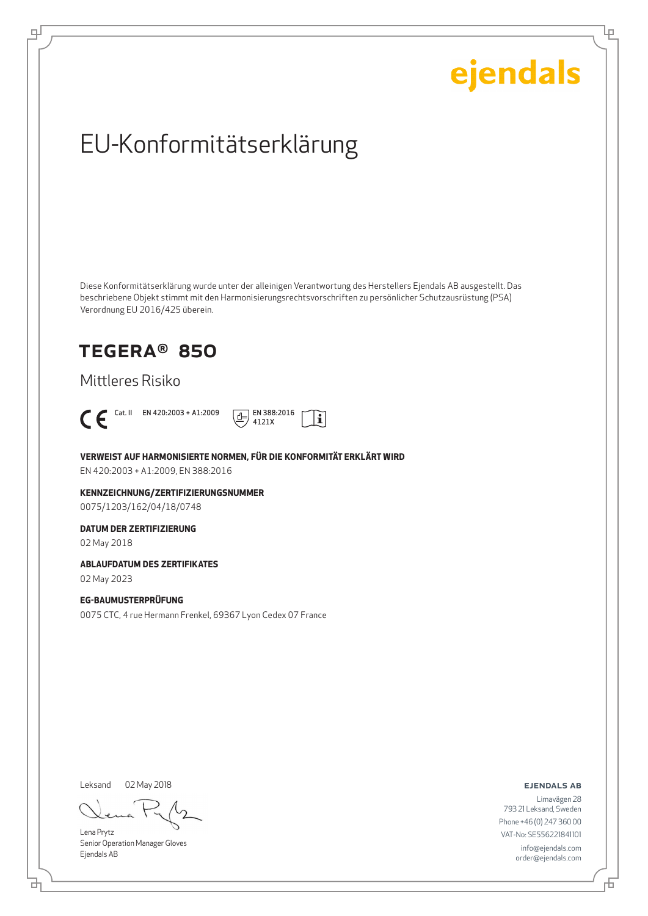Ļμ

## EU-Konformitätserklärung

Diese Konformitätserklärung wurde unter der alleinigen Verantwortung des Herstellers Ejendals AB ausgestellt. Das beschriebene Objekt stimmt mit den Harmonisierungsrechtsvorschriften zu persönlicher Schutzausrüstung (PSA) Verordnung EU 2016/425 überein.

## TEGERA® 850

Mittleres Risiko



டி



**VERWEIST AUF HARMONISIERTE NORMEN, FÜR DIE KONFORMITÄT ERKLÄRT WIRD**

EN 420:2003 + A1:2009, EN 388:2016

**KENNZEICHNUNG/ZERTIFIZIERUNGSNUMMER** 0075/1203/162/04/18/0748

### **DATUM DER ZERTIFIZIERUNG**

02 May 2018

#### **ABLAUFDATUM DES ZERTIFIKATES**

02 May 2023

#### **EG-BAUMUSTERPRÜFUNG**

0075 CTC, 4 rue Hermann Frenkel, 69367 Lyon Cedex 07 France

Leksand 02 May 2018

Lena Prytz Senior Operation Manager Gloves Ejendals AB

ejendals ab

舌

브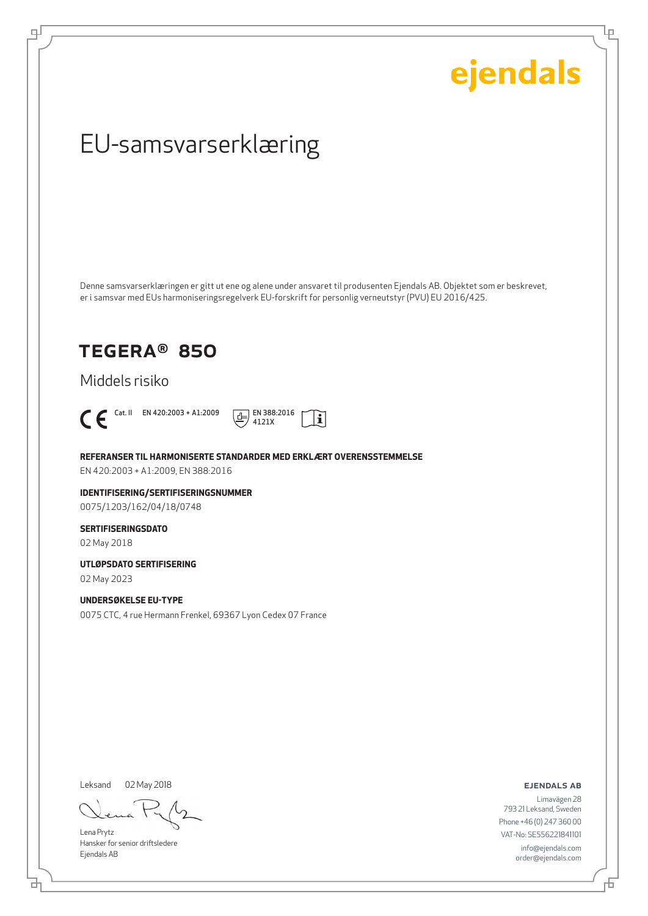Ļμ

## EU-samsvarserklæring

Denne samsvarserklæringen er gitt ut ene og alene under ansvaret til produsenten Ejendals AB. Objektet som er beskrevet, er i samsvar med EUs harmoniseringsregelverk EU-forskrift for personlig verneutstyr (PVU) EU 2016/425.

## TEGERA® 850

Middels risiko



டி



**REFERANSER TIL HARMONISERTE STANDARDER MED ERKLÆRT OVERENSSTEMMELSE**

EN 420:2003 + A1:2009, EN 388:2016

**IDENTIFISERING/SERTIFISERINGSNUMMER** 0075/1203/162/04/18/0748

### **SERTIFISERINGSDATO**

02 May 2018

**UTLØPSDATO SERTIFISERING**

02 May 2023

### **UNDERSØKELSE EU-TYPE**

0075 CTC, 4 rue Hermann Frenkel, 69367 Lyon Cedex 07 France

Leksand 02 May 2018

Lena Prytz Hansker for senior driftsledere Ejendals AB

ejendals ab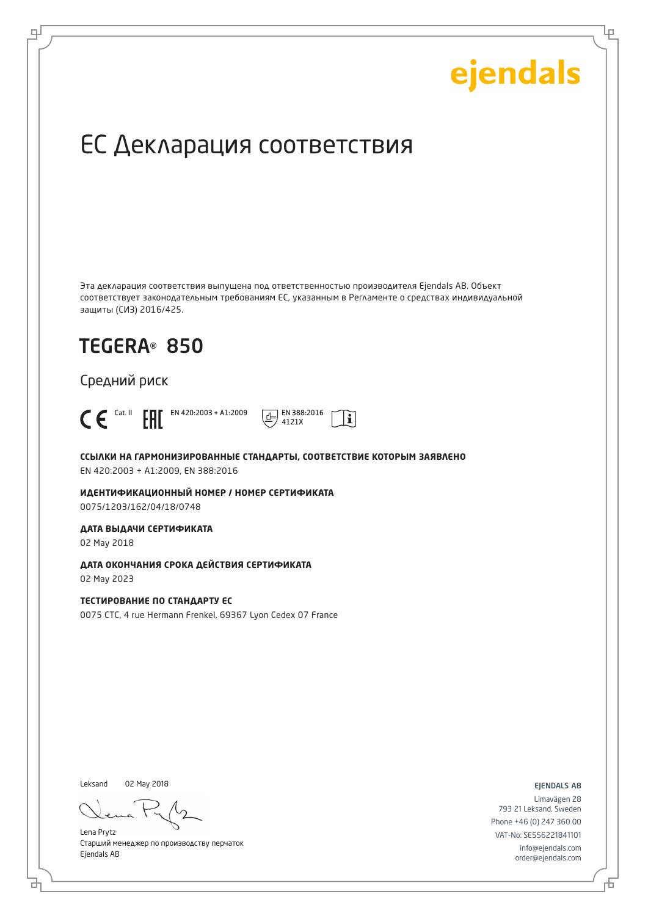Ļμ

## ЕС Декларация соответствия

Эта декларация соответствия выпущена под ответственностью производителя Ejendals AB. Объект соответствует законодательным требованиям ЕС, указанным в Регламенте о средствах индивидуальной защиты (СИЗ) 2016/425.

## TEGERA® 850

Средний риск



டி

**ССЫЛКИ НА ГАРМОНИЗИРОВАННЫЕ СТАНДАРТЫ, СООТВЕТСТВИЕ КОТОРЫМ ЗАЯВЛЕНО** EN 420:2003 + A1:2009, EN 388:2016

4121X

 $|\mathbf{i}|$ 

**ИДЕНТИФИКАЦИОННЫЙ НОМЕР / НОМЕР СЕРТИФИКАТА** 0075/1203/162/04/18/0748

**ДАТА ВЫДАЧИ СЕРТИФИКАТА**

02 May 2018

**ДАТА ОКОНЧАНИЯ СРОКА ДЕЙСТВИЯ СЕРТИФИКАТА** 02 May 2023

**ТЕСТИРОВАНИЕ ПО СТАНДАРТУ ЕС**

0075 CTC, 4 rue Hermann Frenkel, 69367 Lyon Cedex 07 France

Leksand 02 May 2018

б

Lena Prytz Старший менеджер по производству перчаток Ejendals AB

ejendals ab

Đ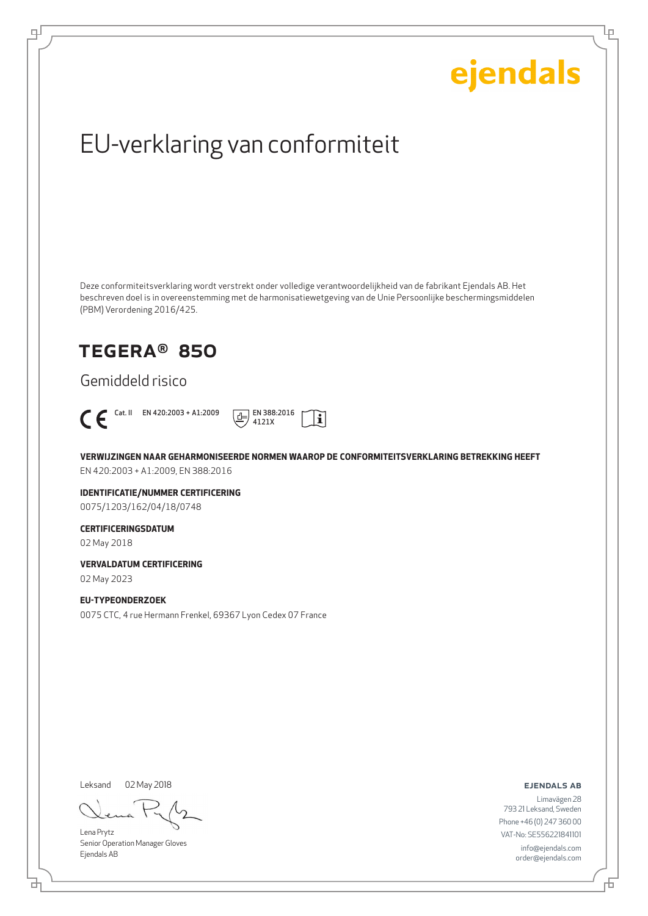Ļμ

## EU-verklaring van conformiteit

Deze conformiteitsverklaring wordt verstrekt onder volledige verantwoordelijkheid van de fabrikant Ejendals AB. Het beschreven doel is in overeenstemming met de harmonisatiewetgeving van de Unie Persoonlijke beschermingsmiddelen (PBM) Verordening 2016/425.

## TEGERA® 850

Gemiddeld risico



டி



**VERWIJZINGEN NAAR GEHARMONISEERDE NORMEN WAAROP DE CONFORMITEITSVERKLARING BETREKKING HEEFT** EN 420:2003 + A1:2009, EN 388:2016

**IDENTIFICATIE/NUMMER CERTIFICERING** 0075/1203/162/04/18/0748

### **CERTIFICERINGSDATUM**

02 May 2018

**VERVALDATUM CERTIFICERING**

02 May 2023

### **EU-TYPEONDERZOEK**

0075 CTC, 4 rue Hermann Frenkel, 69367 Lyon Cedex 07 France

Leksand 02 May 2018

브

Lena Prytz Senior Operation Manager Gloves Ejendals AB

ejendals ab

舌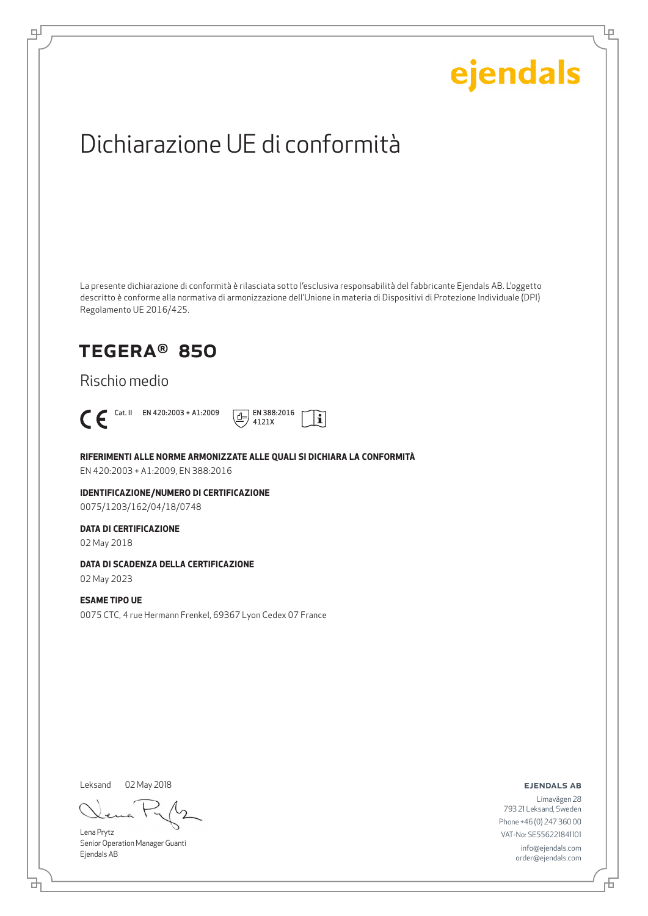Lρ

## Dichiarazione UE di conformità

La presente dichiarazione di conformità è rilasciata sotto l'esclusiva responsabilità del fabbricante Ejendals AB. L'oggetto descritto è conforme alla normativa di armonizzazione dell'Unione in materia di Dispositivi di Protezione Individuale (DPI) Regolamento UE 2016/425.

## TEGERA® 850

Rischio medio



டி



**RIFERIMENTI ALLE NORME ARMONIZZATE ALLE QUALI SI DICHIARA LA CONFORMITÀ**

EN 420:2003 + A1:2009, EN 388:2016

**IDENTIFICAZIONE/NUMERO DI CERTIFICAZIONE** 0075/1203/162/04/18/0748

#### **DATA DI CERTIFICAZIONE**

02 May 2018

### **DATA DI SCADENZA DELLA CERTIFICAZIONE**

02 May 2023

## **ESAME TIPO UE**

0075 CTC, 4 rue Hermann Frenkel, 69367 Lyon Cedex 07 France

Leksand

02 May 2018

Lena Prytz Senior Operation Manager Guanti Ejendals AB

ejendals ab

Limavägen 28 793 21 Leksand, Sweden Phone +46 (0) 247 360 00 VAT-No: SE556221841101 info@ejendals.com order@ejendals.com

브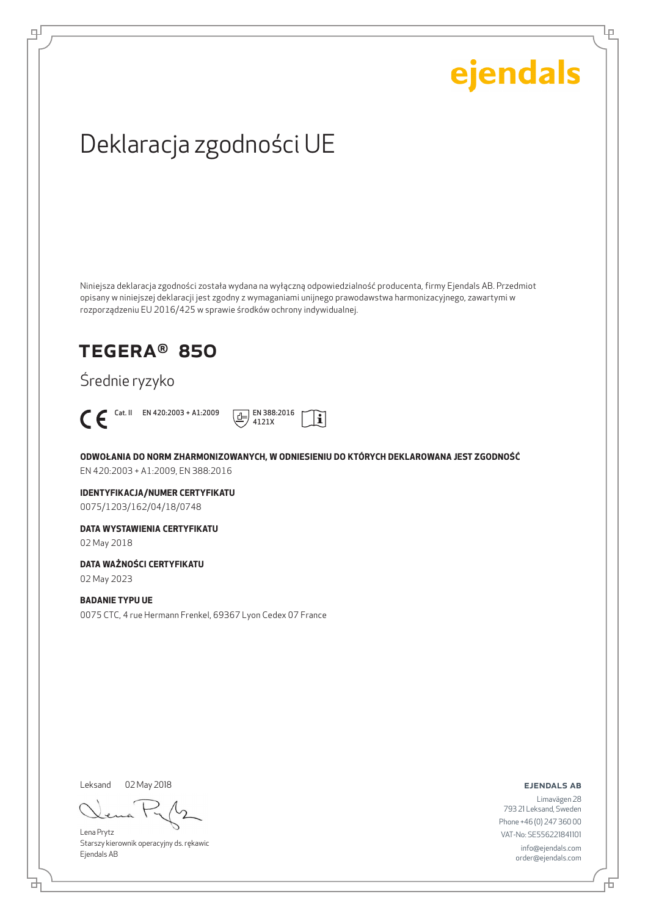Lρ

## Deklaracja zgodności UE

Niniejsza deklaracja zgodności została wydana na wyłączną odpowiedzialność producenta, firmy Ejendals AB. Przedmiot opisany w niniejszej deklaracji jest zgodny z wymaganiami unijnego prawodawstwa harmonizacyjnego, zawartymi w rozporządzeniu EU 2016/425 w sprawie środków ochrony indywidualnej.

## TEGERA® 850

Średnie ryzyko



цI



**ODWOŁANIA DO NORM ZHARMONIZOWANYCH, W ODNIESIENIU DO KTÓRYCH DEKLAROWANA JEST ZGODNOŚĆ** EN 420:2003 + A1:2009, EN 388:2016

**IDENTYFIKACJA/NUMER CERTYFIKATU** 0075/1203/162/04/18/0748

**DATA WYSTAWIENIA CERTYFIKATU**

02 May 2018

**DATA WAŻNOŚCI CERTYFIKATU**

02 May 2023

## **BADANIE TYPU UE**

0075 CTC, 4 rue Hermann Frenkel, 69367 Lyon Cedex 07 France

Leksand 02 May 2018

브

Lena Prytz Starszy kierownik operacyjny ds. rękawic Ejendals AB

ejendals ab

Đ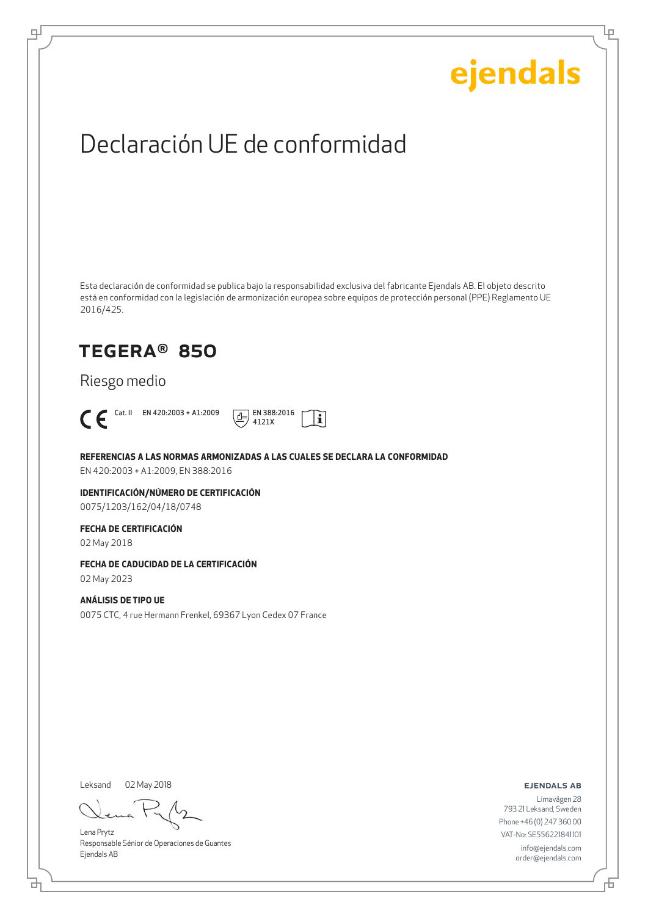Lρ

## Declaración UE de conformidad

Esta declaración de conformidad se publica bajo la responsabilidad exclusiva del fabricante Ejendals AB. El objeto descrito está en conformidad con la legislación de armonización europea sobre equipos de protección personal (PPE) Reglamento UE 2016/425.

## TEGERA® 850

Riesgo medio



டி



**REFERENCIAS A LAS NORMAS ARMONIZADAS A LAS CUALES SE DECLARA LA CONFORMIDAD**

EN 420:2003 + A1:2009, EN 388:2016

**IDENTIFICACIÓN/NÚMERO DE CERTIFICACIÓN** 0075/1203/162/04/18/0748

### **FECHA DE CERTIFICACIÓN**

02 May 2018

### **FECHA DE CADUCIDAD DE LA CERTIFICACIÓN**

02 May 2023

### **ANÁLISIS DE TIPO UE**

0075 CTC, 4 rue Hermann Frenkel, 69367 Lyon Cedex 07 France

Leksand 02 May 2018

Lena Prytz Responsable Sénior de Operaciones de Guantes Ejendals AB

ejendals ab

Limavägen 28 793 21 Leksand, Sweden Phone +46 (0) 247 360 00 VAT-No: SE556221841101 info@ejendals.com order@ejendals.com

브

Đ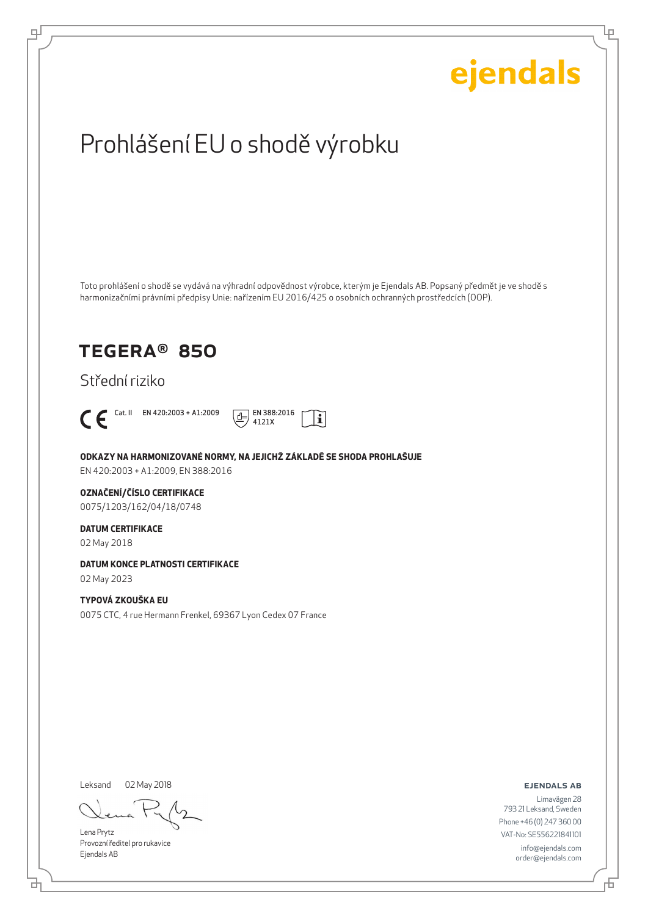

Leksand 02 May 2018

브

டி

Lena Prytz Provozní ředitel pro rukavice Ejendals AB

ejendals ab

舌

Ļμ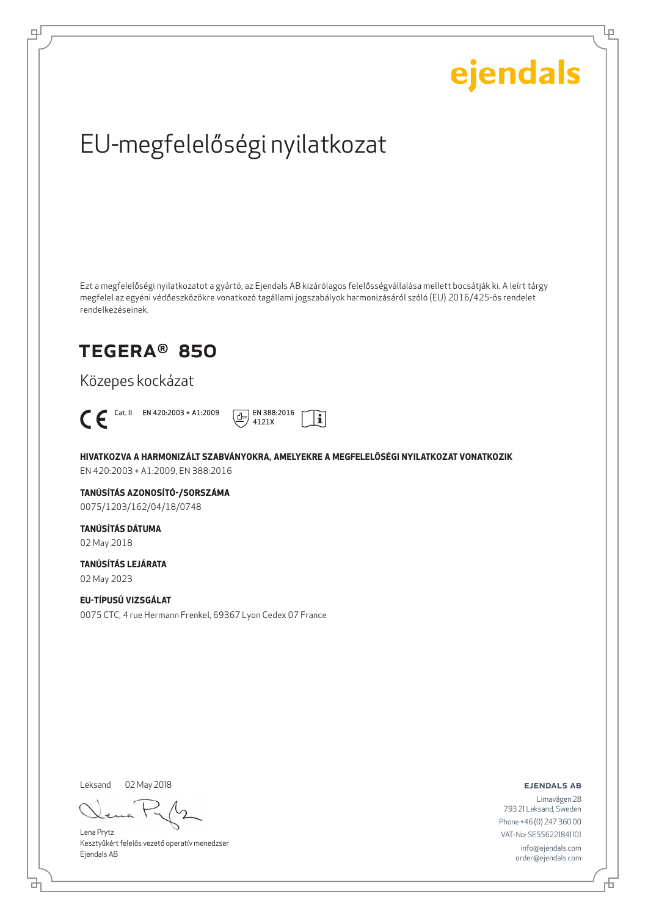Ļμ

## EU-megfelelőségi nyilatkozat

Ezt a megfelelőségi nyilatkozatot a gyártó, az Ejendals AB kizárólagos felelősségvállalása mellett bocsátják ki. A leírt tárgy megfelel az egyéni védőeszközökre vonatkozó tagállami jogszabályok harmonizásáról szóló (EU) 2016/425-ös rendelet rendelkezéseinek.

## TEGERA® 850

Közepes kockázat



цI



**HIVATKOZVA A HARMONIZÁLT SZABVÁNYOKRA, AMELYEKRE A MEGFELELŐSÉGI NYILATKOZAT VONATKOZIK** EN 420:2003 + A1:2009, EN 388:2016

**TANÚSÍTÁS AZONOSÍTÓ-/SORSZÁMA** 0075/1203/162/04/18/0748

**TANÚSÍTÁS DÁTUMA** 02 May 2018

**TANÚSÍTÁS LEJÁRATA**

02 May 2023

### **EU-TÍPUSÚ VIZSGÁLAT**

0075 CTC, 4 rue Hermann Frenkel, 69367 Lyon Cedex 07 France

Leksand 02 May 2018

Lena Prytz Kesztyűkért felelős vezető operatív menedzser Ejendals AB

ejendals ab

Đ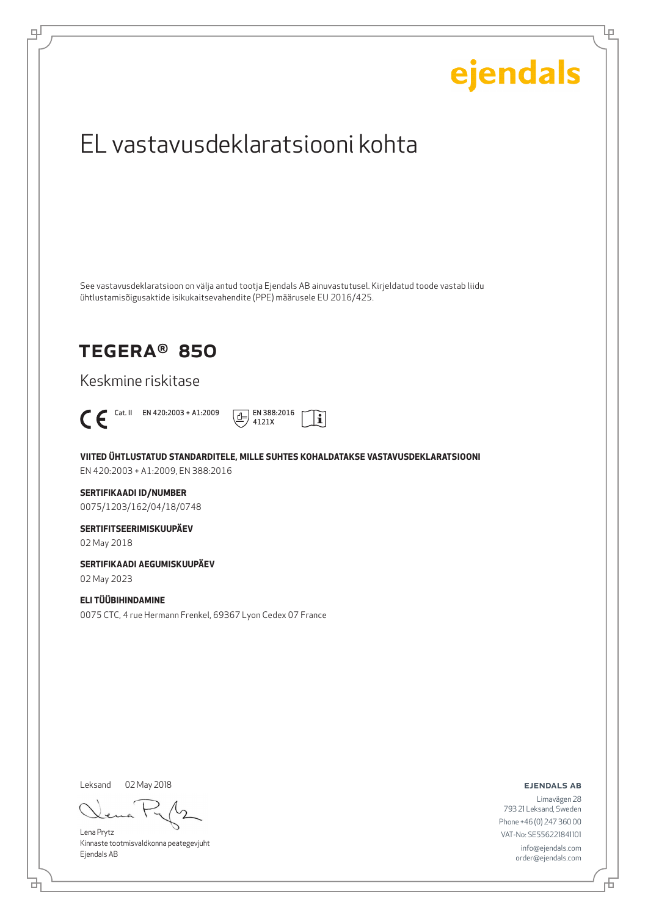

Kinnaste tootmisvaldkonna peategevjuht Ejendals AB

브

டி

info@ejendals.com order@ejendals.com

Đ

Ļμ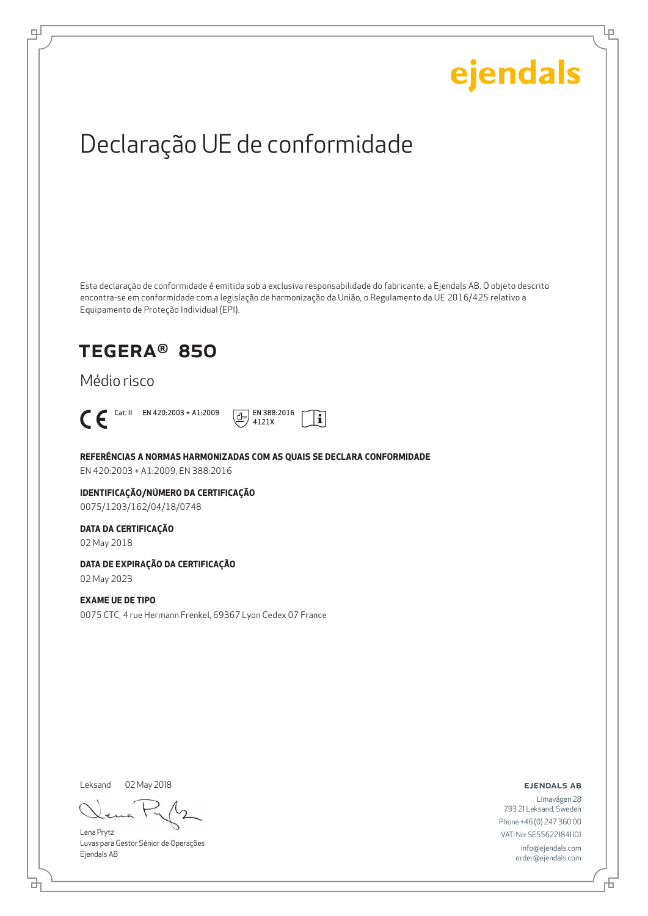Ļμ

## Declaração UE de conformidade

Esta declaração de conformidade é emitida sob a exclusiva responsabilidade do fabricante, a Ejendals AB. O objeto descrito encontra-se em conformidade com a legislação de harmonização da União, o Regulamento da UE 2016/425 relativo a Equipamento de Proteção Individual (EPI).

i.

## TEGERA® 850

## Médio risco



цI



**REFERÊNCIAS A NORMAS HARMONIZADAS COM AS QUAIS SE DECLARA CONFORMIDADE**

EN 420:2003 + A1:2009, EN 388:2016

#### **IDENTIFICAÇÃO/NÚMERO DA CERTIFICAÇÃO** 0075/1203/162/04/18/0748

### **DATA DA CERTIFICAÇÃO**

02 May 2018

### **DATA DE EXPIRAÇÃO DA CERTIFICAÇÃO**

02 May 2023

#### **EXAME UE DE TIPO**

0075 CTC, 4 rue Hermann Frenkel, 69367 Lyon Cedex 07 France

Leksand 02 May 2018

Lena Prytz Luvas para Gestor Sénior de Operações Ejendals AB

ejendals ab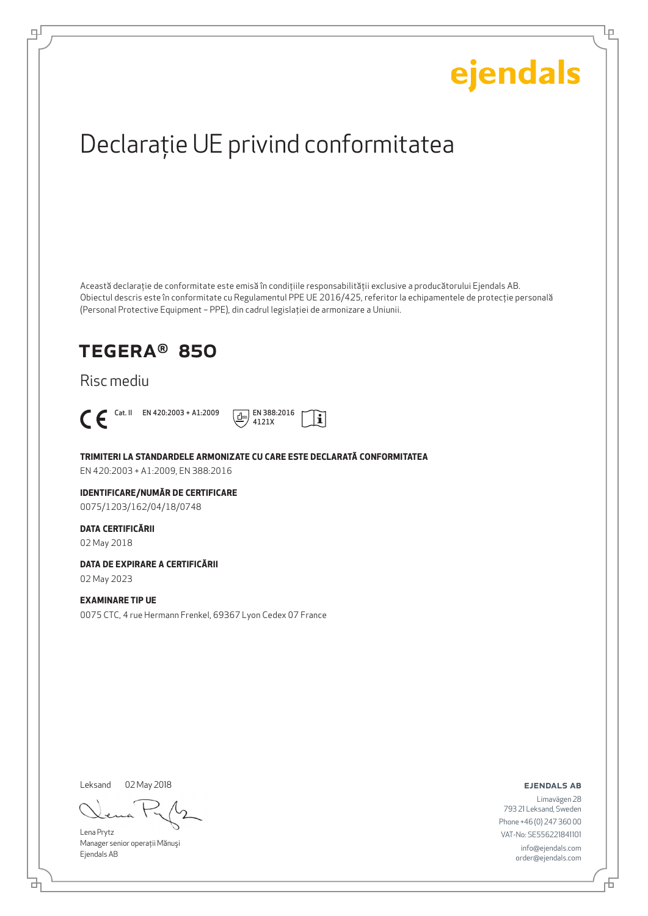Ļμ

## Declaraţie UE privind conformitatea

Această declaraţie de conformitate este emisă în condiţiile responsabilităţii exclusive a producătorului Ejendals AB. Obiectul descris este în conformitate cu Regulamentul PPE UE 2016/425, referitor la echipamentele de protecţie personală (Personal Protective Equipment – PPE), din cadrul legislaţiei de armonizare a Uniunii.

## TEGERA® 850

## Risc mediu



டி



**TRIMITERI LA STANDARDELE ARMONIZATE CU CARE ESTE DECLARATĂ CONFORMITATEA**

EN 420:2003 + A1:2009, EN 388:2016

### **IDENTIFICARE/NUMĂR DE CERTIFICARE**

0075/1203/162/04/18/0748

#### **DATA CERTIFICĂRII**

02 May 2018

#### **DATA DE EXPIRARE A CERTIFICĂRII**

02 May 2023

#### **EXAMINARE TIP UE**

0075 CTC, 4 rue Hermann Frenkel, 69367 Lyon Cedex 07 France

Leksand

02 May 2018

Lena Prytz Manager senior operatii Mănuși Ejendals AB

ejendals ab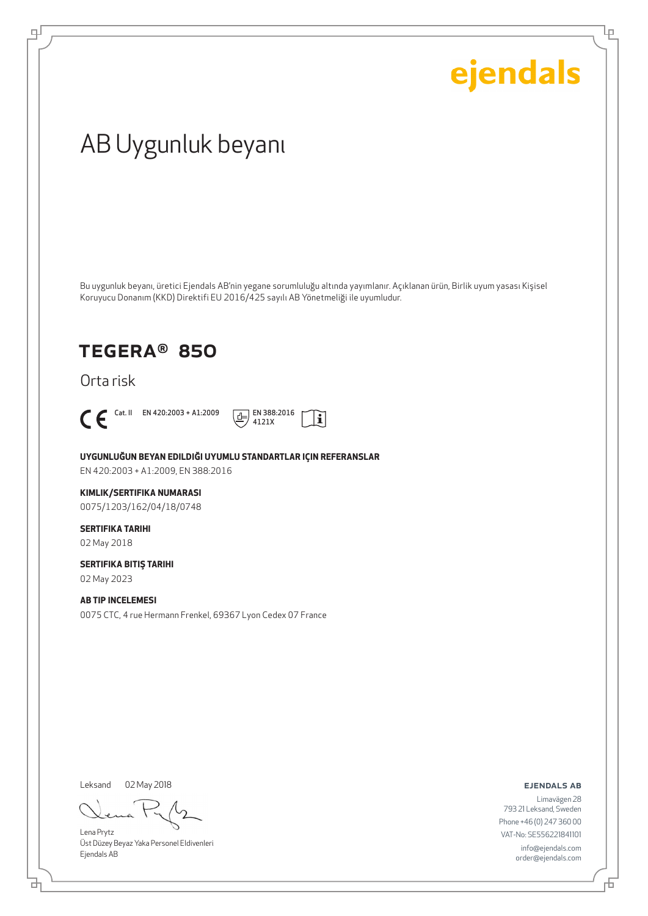Ļρ

## AB Uygunluk beyanı

Bu uygunluk beyanı, üretici Ejendals AB'nin yegane sorumluluğu altında yayımlanır. Açıklanan ürün, Birlik uyum yasası Kişisel Koruyucu Donanım (KKD) Direktifi EU 2016/425 sayılı AB Yönetmeliği ile uyumludur.

ļĩ

## TEGERA® 850

Orta risk



டி



**UYGUNLUĞUN BEYAN EDILDIĞI UYUMLU STANDARTLAR IÇIN REFERANSLAR** EN 420:2003 + A1:2009, EN 388:2016

#### **KIMLIK/SERTIFIKA NUMARASI**

0075/1203/162/04/18/0748

#### **SERTIFIKA TARIHI** 02 May 2018

**SERTIFIKA BITIŞ TARIHI**

02 May 2023

## **AB TIP INCELEMESI**

0075 CTC, 4 rue Hermann Frenkel, 69367 Lyon Cedex 07 France

Leksand 02 May 2018

Lena Prytz Üst Düzey Beyaz Yaka Personel Eldivenleri Ejendals AB

ejendals ab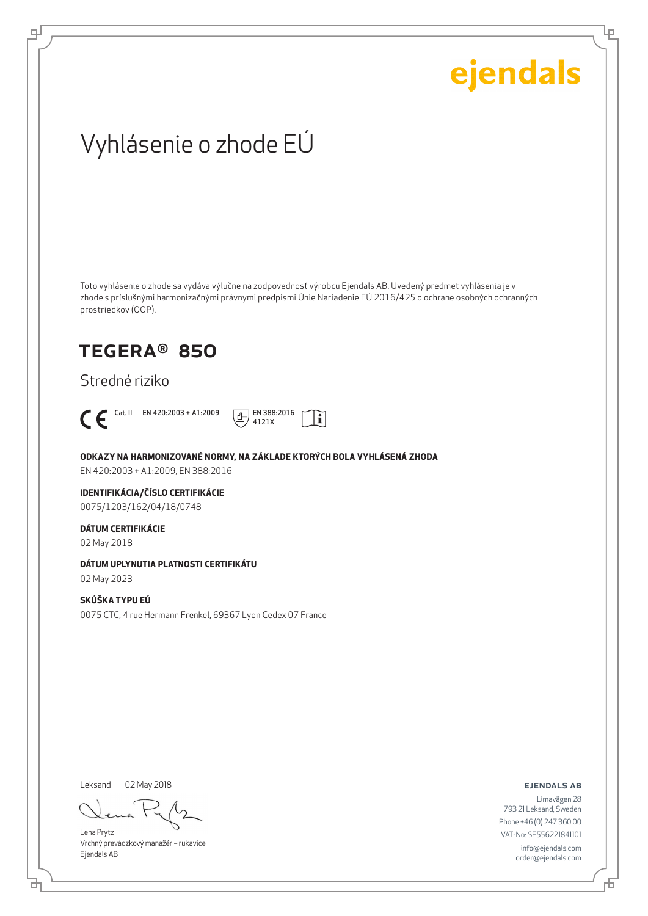Lρ

## Vyhlásenie o zhode EÚ

Toto vyhlásenie o zhode sa vydáva výlučne na zodpovednosť výrobcu Ejendals AB. Uvedený predmet vyhlásenia je v zhode s príslušnými harmonizačnými právnymi predpismi Únie Nariadenie EÚ 2016/425 o ochrane osobných ochranných prostriedkov (OOP).

## TEGERA® 850

Stredné riziko



டி



### **ODKAZY NA HARMONIZOVANÉ NORMY, NA ZÁKLADE KTORÝCH BOLA VYHLÁSENÁ ZHODA**

EN 420:2003 + A1:2009, EN 388:2016

## **IDENTIFIKÁCIA/ČÍSLO CERTIFIKÁCIE**

0075/1203/162/04/18/0748

#### **DÁTUM CERTIFIKÁCIE**

02 May 2018

### **DÁTUM UPLYNUTIA PLATNOSTI CERTIFIKÁTU**

02 May 2023

### **SKÚŠKA TYPU EÚ**

0075 CTC, 4 rue Hermann Frenkel, 69367 Lyon Cedex 07 France

Leksand 02 May 2018

Lena Prytz Vrchný prevádzkový manažér – rukavice Ejendals AB

ejendals ab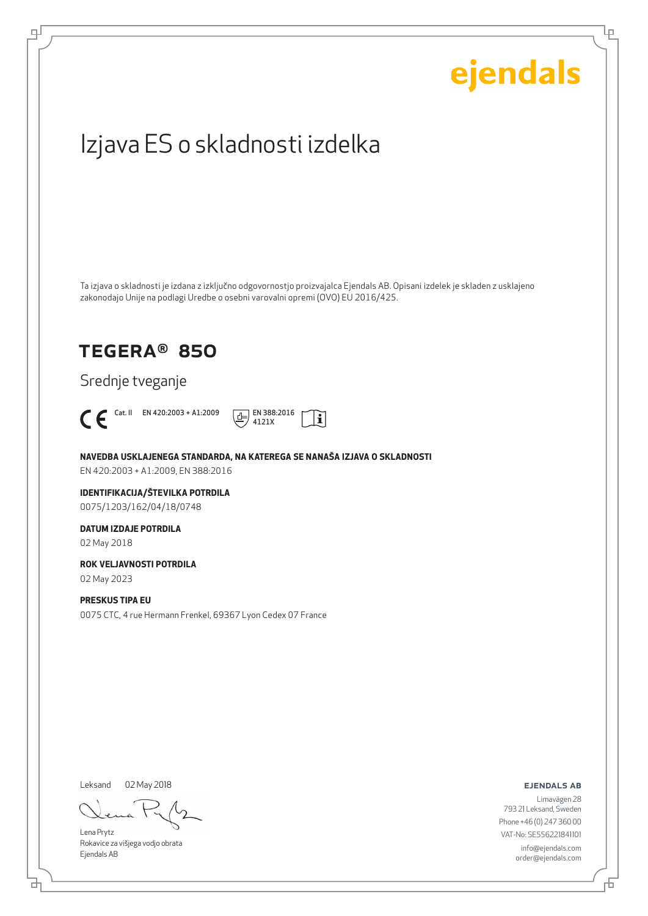## ejendals Izjava ES o skladnosti izdelka Ta izjava o skladnosti je izdana z izključno odgovornostjo proizvajalca Ejendals AB. Opisani izdelek je skladen z usklajeno zakonodajo Unije na podlagi Uredbe o osebni varovalni opremi (OVO) EU 2016/425. TEGERA® 850 Srednje tveganje  $\bigcap$  En 420:2003 + A1:2009  $\bigoplus_{4121X}$  EN 388:2016  $|\tilde{\mathbf{i}}|$ 4121X **NAVEDBA USKLAJENEGA STANDARDA, NA KATEREGA SE NANAŠA IZJAVA O SKLADNOSTI** EN 420:2003 + A1:2009, EN 388:2016 **IDENTIFIKACIJA/ŠTEVILKA POTRDILA** 0075/1203/162/04/18/0748 **DATUM IZDAJE POTRDILA** 02 May 2018 **ROK VELJAVNOSTI POTRDILA** 02 May 2023 **PRESKUS TIPA EU** 0075 CTC, 4 rue Hermann Frenkel, 69367 Lyon Cedex 07 France Leksand 02 May 2018ejendals ab

Lena Prytz Rokavice za višjega vodjo obrata Ejendals AB

브

டி

Limavägen 28 793 21 Leksand, Sweden Phone +46 (0) 247 360 00 VAT-No: SE556221841101 info@ejendals.com order@ejendals.com

舌

Ļμ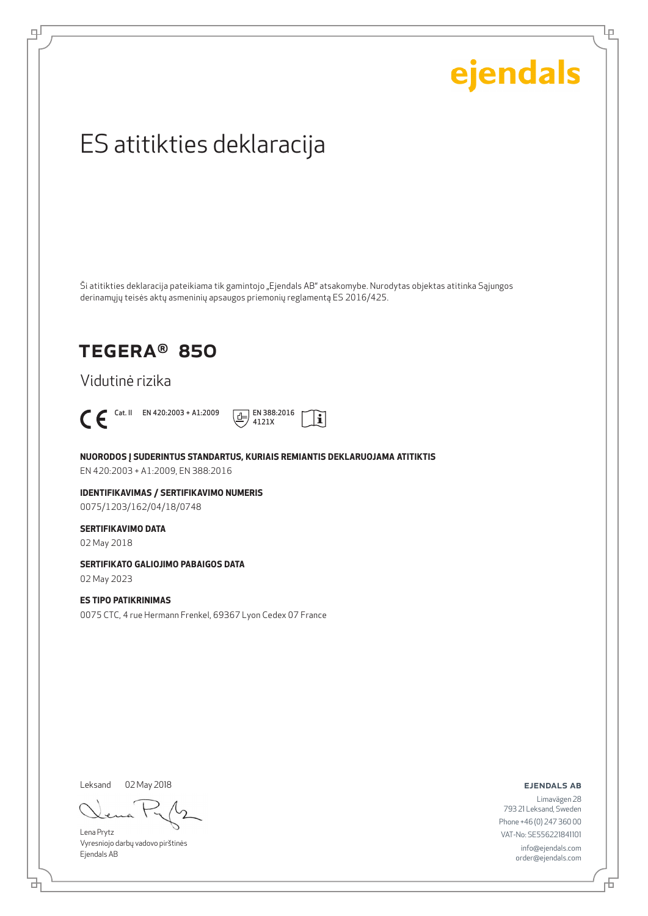Ļμ

## ES atitikties deklaracija

Ši atitikties deklaracija pateikiama tik gamintojo "Ejendals AB" atsakomybe. Nurodytas objektas atitinka Sąjungos derinamųjų teisės aktų asmeninių apsaugos priemonių reglamentą ES 2016/425.

## TEGERA® 850

Vidutinė rizika



டி



**NUORODOS Į SUDERINTUS STANDARTUS, KURIAIS REMIANTIS DEKLARUOJAMA ATITIKTIS** EN 420:2003 + A1:2009, EN 388:2016

**IDENTIFIKAVIMAS / SERTIFIKAVIMO NUMERIS** 0075/1203/162/04/18/0748

#### **SERTIFIKAVIMO DATA**

02 May 2018

### **SERTIFIKATO GALIOJIMO PABAIGOS DATA**

02 May 2023

#### **ES TIPO PATIKRINIMAS**

0075 CTC, 4 rue Hermann Frenkel, 69367 Lyon Cedex 07 France

Leksand

02 May 2018

Lena Prytz Vyresniojo darbų vadovo pirštinės Ejendals AB

ejendals ab

Limavägen 28 793 21 Leksand, Sweden Phone +46 (0) 247 360 00 VAT-No: SE556221841101 info@ejendals.com order@ejendals.com

舌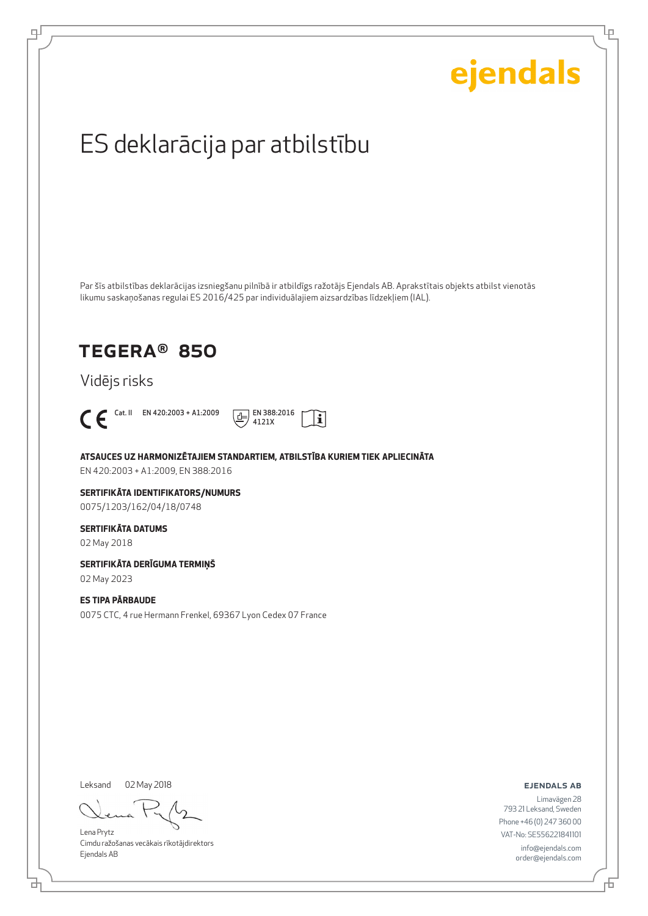Lρ

## ES deklarācija par atbilstību

Par šīs atbilstības deklarācijas izsniegšanu pilnībā ir atbildīgs ražotājs Ejendals AB. Aprakstītais objekts atbilst vienotās likumu saskaņošanas regulai ES 2016/425 par individuālajiem aizsardzības līdzekļiem (IAL).

## TEGERA® 850

Vidējs risks



டி



**ATSAUCES UZ HARMONIZĒTAJIEM STANDARTIEM, ATBILSTĪBA KURIEM TIEK APLIECINĀTA**

EN 420:2003 + A1:2009, EN 388:2016

#### **SERTIFIKĀTA IDENTIFIKATORS/NUMURS** 0075/1203/162/04/18/0748

#### **SERTIFIKĀTA DATUMS**

02 May 2018

## **SERTIFIKĀTA DERĪGUMA TERMIŅŠ**

02 May 2023

### **ES TIPA PĀRBAUDE**

0075 CTC, 4 rue Hermann Frenkel, 69367 Lyon Cedex 07 France

Leksand 02 May 2018

Lena Prytz Cimdu ražošanas vecākais rīkotājdirektors Ejendals AB

ejendals ab

브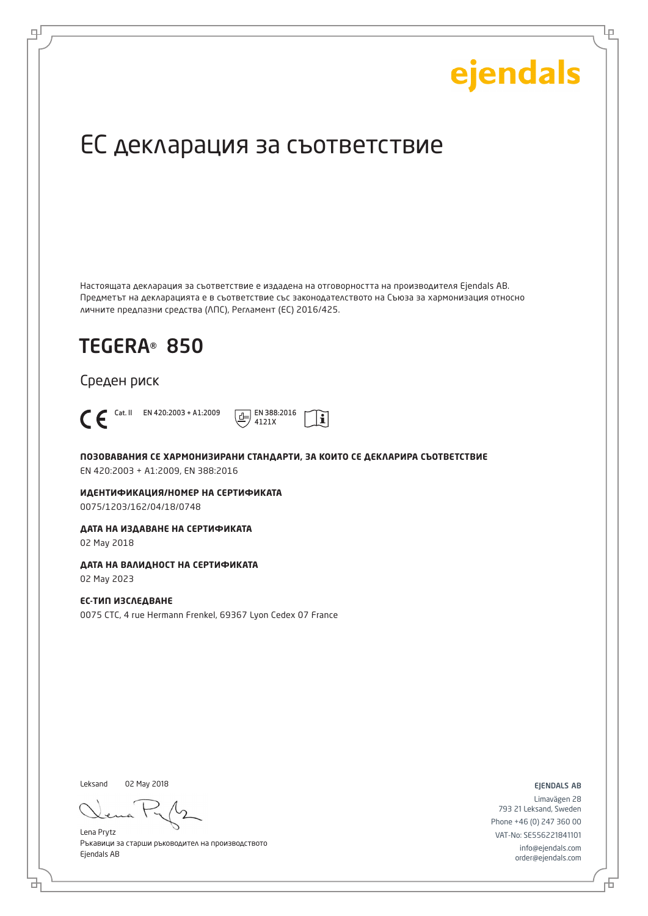Ļμ

## ЕС декларация за съответствие

Настоящата декларация за съответствие е издадена на отговорността на производителя Ejendals AB. Предметът на декларацията е в съответствие със законодателството на Съюза за хармонизация относно личните предпазни средства (ЛПС), Регламент (ЕС) 2016/425.

 $\mathbf i$ 

## TEGERA® 850

Среден риск



டி

Cat. II EN 420:2003 + A1:2009  $\boxed{+}$  EN 388:2016 4121X

**ПОЗОВАВАНИЯ СЕ ХАРМОНИЗИРАНИ СТАНДАРТИ, ЗА КОИТО СЕ ДЕКЛАРИРА СЪОТВЕТСТВИЕ** EN 420:2003 + A1:2009, EN 388:2016

**ИДЕНТИФИКАЦИЯ/НОМЕР НА СЕРТИФИКАТА** 0075/1203/162/04/18/0748

**ДАТА НА ИЗДАВАНЕ НА СЕРТИФИКАТА**

02 May 2018

### **ДАТА НА ВАЛИДНОСТ НА СЕРТИФИКАТА**

02 May 2023

#### **ЕС-ТИП ИЗСЛЕДВАНЕ** 0075 CTC, 4 rue Hermann Frenkel, 69367 Lyon Cedex 07 France

Leksand 02 May 2018

Lena Prytz Ръкавици за старши ръководител на производството Ejendals AB

ejendals ab

Limavägen 28 793 21 Leksand, Sweden Phone +46 (0) 247 360 00 VAT-No: SE556221841101 info@ejendals.com order@ejendals.com

Б